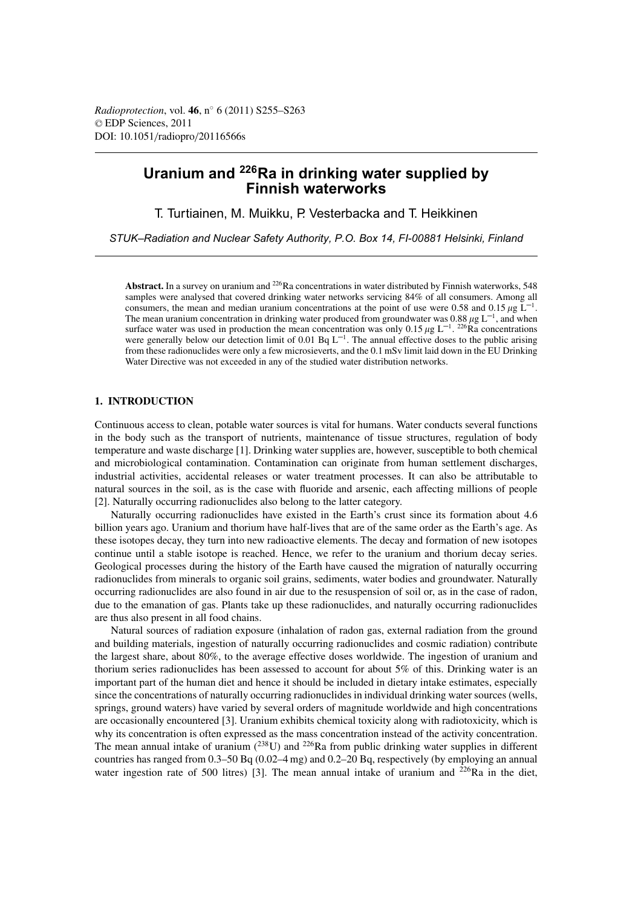# **Uranium and 226Ra in drinking water supplied by Finnish waterworks**

T. Turtiainen, M. Muikku, P. Vesterbacka and T. Heikkinen

*STUK–Radiation and Nuclear Safety Authority, P.O. Box 14, FI-00881 Helsinki, Finland*

Abstract. In a survey on uranium and <sup>226</sup>Ra concentrations in water distributed by Finnish waterworks, 548 samples were analysed that covered drinking water networks servicing 84% of all consumers. Among all consumers, the mean and median uranium concentrations at the point of use were 0.58 and 0.15  $\mu$ g L<sup>-1</sup>. The mean uranium concentration in drinking water produced from groundwater was 0.88  $\mu$ g L<sup>-1</sup>, and when surface water was used in production the mean concentration was only  $0.15 \mu g L^{-1}$ . 226Ra concentrations were generally below our detection limit of 0.01 Bq  $L^{-1}$ . The annual effective doses to the public arising from these radionuclides were only a few microsieverts, and the 0.1 mSv limit laid down in the EU Drinking Water Directive was not exceeded in any of the studied water distribution networks.

# **1. INTRODUCTION**

Continuous access to clean, potable water sources is vital for humans. Water conducts several functions in the body such as the transport of nutrients, maintenance of tissue structures, regulation of body temperature and waste discharge [1]. Drinking water supplies are, however, susceptible to both chemical and microbiological contamination. Contamination can originate from human settlement discharges, industrial activities, accidental releases or water treatment processes. It can also be attributable to natural sources in the soil, as is the case with fluoride and arsenic, each affecting millions of people [2]. Naturally occurring radionuclides also belong to the latter category.

Naturally occurring radionuclides have existed in the Earth's crust since its formation about 4.6 billion years ago. Uranium and thorium have half-lives that are of the same order as the Earth's age. As these isotopes decay, they turn into new radioactive elements. The decay and formation of new isotopes continue until a stable isotope is reached. Hence, we refer to the uranium and thorium decay series. Geological processes during the history of the Earth have caused the migration of naturally occurring radionuclides from minerals to organic soil grains, sediments, water bodies and groundwater. Naturally occurring radionuclides are also found in air due to the resuspension of soil or, as in the case of radon, due to the emanation of gas. Plants take up these radionuclides, and naturally occurring radionuclides are thus also present in all food chains.

Natural sources of radiation exposure (inhalation of radon gas, external radiation from the ground and building materials, ingestion of naturally occurring radionuclides and cosmic radiation) contribute the largest share, about 80%, to the average effective doses worldwide. The ingestion of uranium and thorium series radionuclides has been assessed to account for about 5% of this. Drinking water is an important part of the human diet and hence it should be included in dietary intake estimates, especially since the concentrations of naturally occurring radionuclides in individual drinking water sources (wells, springs, ground waters) have varied by several orders of magnitude worldwide and high concentrations are occasionally encountered [3]. Uranium exhibits chemical toxicity along with radiotoxicity, which is why its concentration is often expressed as the mass concentration instead of the activity concentration. The mean annual intake of uranium  $(^{238}U)$  and  $^{226}Ra$  from public drinking water supplies in different countries has ranged from 0.3–50 Bq (0.02–4 mg) and 0.2–20 Bq, respectively (by employing an annual water ingestion rate of 500 litres) [3]. The mean annual intake of uranium and  $^{226}Ra$  in the diet,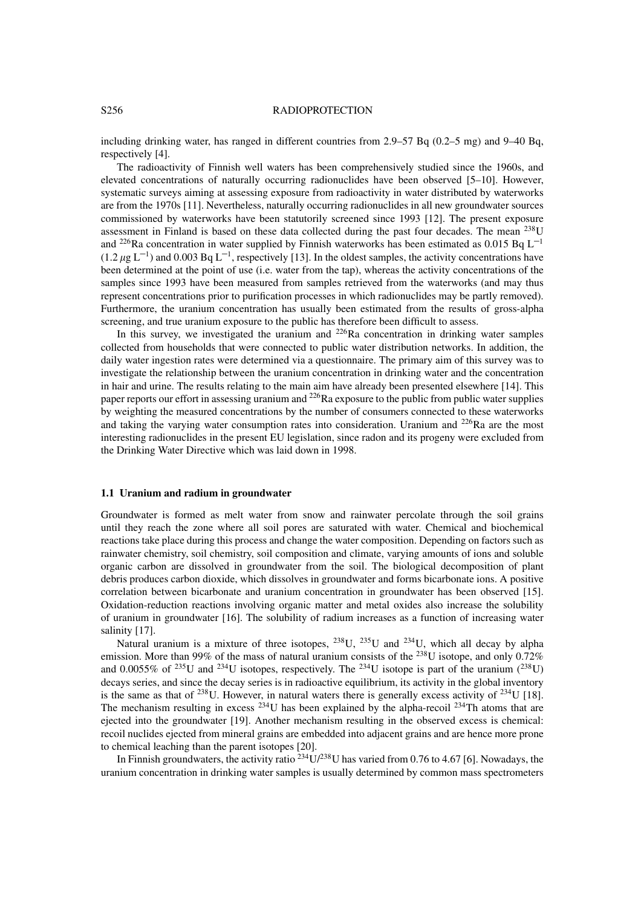#### S256 RADIOPROTECTION

including drinking water, has ranged in different countries from 2.9–57 Bq (0.2–5 mg) and 9–40 Bq, respectively [4].

The radioactivity of Finnish well waters has been comprehensively studied since the 1960s, and elevated concentrations of naturally occurring radionuclides have been observed [5–10]. However, systematic surveys aiming at assessing exposure from radioactivity in water distributed by waterworks are from the 1970s [11]. Nevertheless, naturally occurring radionuclides in all new groundwater sources commissioned by waterworks have been statutorily screened since 1993 [12]. The present exposure assessment in Finland is based on these data collected during the past four decades. The mean 238U and <sup>226</sup>Ra concentration in water supplied by Finnish waterworks has been estimated as 0.015 Bq L<sup>-1</sup>  $(1.2 \mu g L^{-1})$  and 0.003 Bq L<sup>-1</sup>, respectively [13]. In the oldest samples, the activity concentrations have been determined at the point of use (i.e. water from the tap), whereas the activity concentrations of the samples since 1993 have been measured from samples retrieved from the waterworks (and may thus represent concentrations prior to purification processes in which radionuclides may be partly removed). Furthermore, the uranium concentration has usually been estimated from the results of gross-alpha screening, and true uranium exposure to the public has therefore been difficult to assess.

In this survey, we investigated the uranium and  $^{226}$ Ra concentration in drinking water samples collected from households that were connected to public water distribution networks. In addition, the daily water ingestion rates were determined via a questionnaire. The primary aim of this survey was to investigate the relationship between the uranium concentration in drinking water and the concentration in hair and urine. The results relating to the main aim have already been presented elsewhere [14]. This paper reports our effort in assessing uranium and 226Ra exposure to the public from public water supplies by weighting the measured concentrations by the number of consumers connected to these waterworks and taking the varying water consumption rates into consideration. Uranium and 226Ra are the most interesting radionuclides in the present EU legislation, since radon and its progeny were excluded from the Drinking Water Directive which was laid down in 1998.

# **1.1 Uranium and radium in groundwater**

Groundwater is formed as melt water from snow and rainwater percolate through the soil grains until they reach the zone where all soil pores are saturated with water. Chemical and biochemical reactions take place during this process and change the water composition. Depending on factors such as rainwater chemistry, soil chemistry, soil composition and climate, varying amounts of ions and soluble organic carbon are dissolved in groundwater from the soil. The biological decomposition of plant debris produces carbon dioxide, which dissolves in groundwater and forms bicarbonate ions. A positive correlation between bicarbonate and uranium concentration in groundwater has been observed [15]. Oxidation-reduction reactions involving organic matter and metal oxides also increase the solubility of uranium in groundwater [16]. The solubility of radium increases as a function of increasing water salinity [17].

Natural uranium is a mixture of three isotopes,  $^{238}$ U,  $^{235}$ U and  $^{234}$ U, which all decay by alpha emission. More than 99% of the mass of natural uranium consists of the <sup>238</sup>U isotope, and only 0.72% and 0.0055% of <sup>235</sup>U and <sup>234</sup>U isotopes, respectively. The <sup>234</sup>U isotope is part of the uranium (<sup>238</sup>U) decays series, and since the decay series is in radioactive equilibrium, its activity in the global inventory is the same as that of 238U. However, in natural waters there is generally excess activity of 234U [18]. The mechanism resulting in excess  $^{234}$ U has been explained by the alpha-recoil  $^{234}$ Th atoms that are ejected into the groundwater [19]. Another mechanism resulting in the observed excess is chemical: recoil nuclides ejected from mineral grains are embedded into adjacent grains and are hence more prone to chemical leaching than the parent isotopes [20].

In Finnish groundwaters, the activity ratio  $^{234}$ U/ $^{238}$ U has varied from 0.76 to 4.67 [6]. Nowadays, the uranium concentration in drinking water samples is usually determined by common mass spectrometers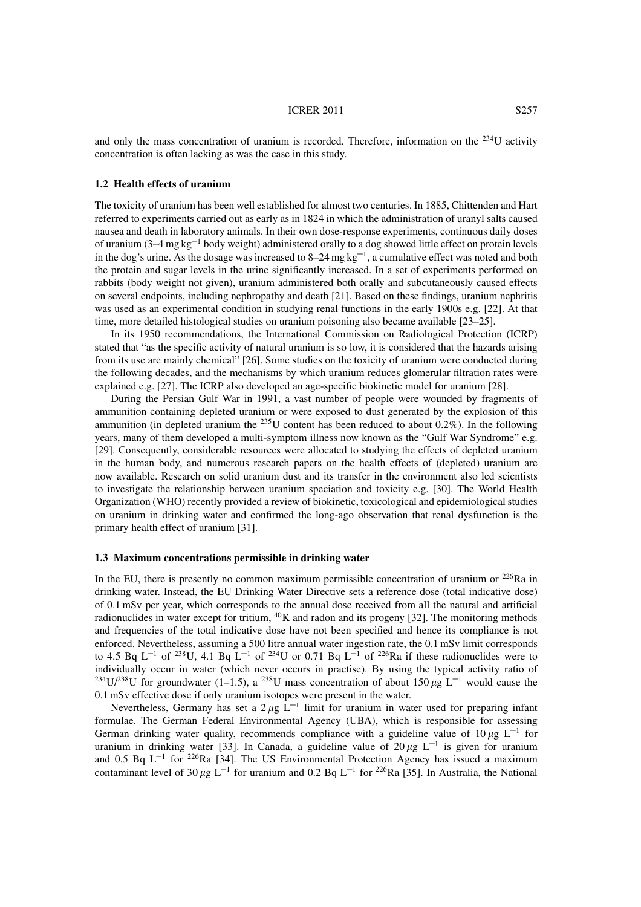### **ICRER 2011** S257

and only the mass concentration of uranium is recorded. Therefore, information on the <sup>234</sup>U activity concentration is often lacking as was the case in this study.

### **1.2 Health effects of uranium**

The toxicity of uranium has been well established for almost two centuries. In 1885, Chittenden and Hart referred to experiments carried out as early as in 1824 in which the administration of uranyl salts caused nausea and death in laboratory animals. In their own dose-response experiments, continuous daily doses of uranium  $(3-4 \text{ mg kg}^{-1}$  body weight) administered orally to a dog showed little effect on protein levels in the dog's urine. As the dosage was increased to 8–24 mg  $kg^{-1}$ , a cumulative effect was noted and both the protein and sugar levels in the urine significantly increased. In a set of experiments performed on rabbits (body weight not given), uranium administered both orally and subcutaneously caused effects on several endpoints, including nephropathy and death [21]. Based on these findings, uranium nephritis was used as an experimental condition in studying renal functions in the early 1900s e.g. [22]. At that time, more detailed histological studies on uranium poisoning also became available [23–25].

In its 1950 recommendations, the International Commission on Radiological Protection (ICRP) stated that "as the specific activity of natural uranium is so low, it is considered that the hazards arising from its use are mainly chemical" [26]. Some studies on the toxicity of uranium were conducted during the following decades, and the mechanisms by which uranium reduces glomerular filtration rates were explained e.g. [27]. The ICRP also developed an age-specific biokinetic model for uranium [28].

During the Persian Gulf War in 1991, a vast number of people were wounded by fragments of ammunition containing depleted uranium or were exposed to dust generated by the explosion of this ammunition (in depleted uranium the  $^{235}$ U content has been reduced to about 0.2%). In the following years, many of them developed a multi-symptom illness now known as the "Gulf War Syndrome" e.g. [29]. Consequently, considerable resources were allocated to studying the effects of depleted uranium in the human body, and numerous research papers on the health effects of (depleted) uranium are now available. Research on solid uranium dust and its transfer in the environment also led scientists to investigate the relationship between uranium speciation and toxicity e.g. [30]. The World Health Organization (WHO) recently provided a review of biokinetic, toxicological and epidemiological studies on uranium in drinking water and confirmed the long-ago observation that renal dysfunction is the primary health effect of uranium [31].

### **1.3 Maximum concentrations permissible in drinking water**

In the EU, there is presently no common maximum permissible concentration of uranium or  $^{226}Ra$  in drinking water. Instead, the EU Drinking Water Directive sets a reference dose (total indicative dose) of 0.1 mSv per year, which corresponds to the annual dose received from all the natural and artificial radionuclides in water except for tritium, <sup>40</sup>K and radon and its progeny [32]. The monitoring methods and frequencies of the total indicative dose have not been specified and hence its compliance is not enforced. Nevertheless, assuming a 500 litre annual water ingestion rate, the 0.1 mSv limit corresponds to 4.5 Bq L<sup>-1</sup> of <sup>238</sup>U, 4.1 Bq L<sup>-1</sup> of <sup>234</sup>U or 0.71 Bq L<sup>-1</sup> of <sup>226</sup>Ra if these radionuclides were to individually occur in water (which never occurs in practise). By using the typical activity ratio of <sup>234</sup>U/<sup>238</sup>U for groundwater (1–1.5), a <sup>238</sup>U mass concentration of about 150  $\mu$ g L<sup>-1</sup> would cause the 0.1 mSv effective dose if only uranium isotopes were present in the water.

Nevertheless, Germany has set a  $2 \mu g L^{-1}$  limit for uranium in water used for preparing infant formulae. The German Federal Environmental Agency (UBA), which is responsible for assessing German drinking water quality, recommends compliance with a guideline value of  $10 \mu$ g L<sup>-1</sup> for uranium in drinking water [33]. In Canada, a guideline value of  $20 \mu g L^{-1}$  is given for uranium and 0.5 Bq  $L^{-1}$  for <sup>226</sup>Ra [34]. The US Environmental Protection Agency has issued a maximum contaminant level of 30  $\mu$ g L<sup>-1</sup> for uranium and 0.2 Bq L<sup>-1</sup> for <sup>226</sup>Ra [35]. In Australia, the National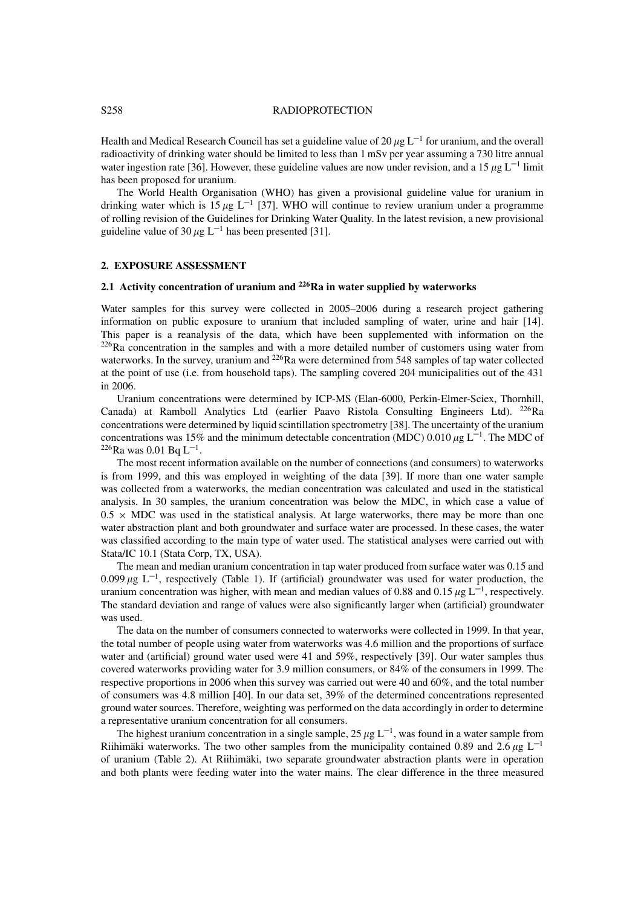### S<sub>258</sub> RADIOPROTECTION

Health and Medical Research Council has set a guideline value of 20  $\mu$ g L<sup>-1</sup> for uranium, and the overall radioactivity of drinking water should be limited to less than 1 mSv per year assuming a 730 litre annual water ingestion rate [36]. However, these guideline values are now under revision, and a 15  $\mu$ g L<sup>-1</sup> limit has been proposed for uranium.

The World Health Organisation (WHO) has given a provisional guideline value for uranium in drinking water which is 15  $\mu$ g L<sup>-1</sup> [37]. WHO will continue to review uranium under a programme of rolling revision of the Guidelines for Drinking Water Quality. In the latest revision, a new provisional guideline value of 30  $\mu$ g L<sup>-1</sup> has been presented [31].

# **2. EXPOSURE ASSESSMENT**

# **2.1 Activity concentration of uranium and 226Ra in water supplied by waterworks**

Water samples for this survey were collected in 2005–2006 during a research project gathering information on public exposure to uranium that included sampling of water, urine and hair [14]. This paper is a reanalysis of the data, which have been supplemented with information on the  $226$ Ra concentration in the samples and with a more detailed number of customers using water from waterworks. In the survey, uranium and <sup>226</sup>Ra were determined from 548 samples of tap water collected at the point of use (i.e. from household taps). The sampling covered 204 municipalities out of the 431 in 2006.

Uranium concentrations were determined by ICP-MS (Elan-6000, Perkin-Elmer-Sciex, Thornhill, Canada) at Ramboll Analytics Ltd (earlier Paavo Ristola Consulting Engineers Ltd). 226Ra concentrations were determined by liquid scintillation spectrometry [38]. The uncertainty of the uranium concentrations was 15% and the minimum detectable concentration (MDC) 0.010  $\mu$ g L<sup>-1</sup>. The MDC of  $226$ Ra was 0.01 Bq L<sup>-1</sup>.

The most recent information available on the number of connections (and consumers) to waterworks is from 1999, and this was employed in weighting of the data [39]. If more than one water sample was collected from a waterworks, the median concentration was calculated and used in the statistical analysis. In 30 samples, the uranium concentration was below the MDC, in which case a value of  $0.5 \times$  MDC was used in the statistical analysis. At large waterworks, there may be more than one water abstraction plant and both groundwater and surface water are processed. In these cases, the water was classified according to the main type of water used. The statistical analyses were carried out with Stata/IC 10.1 (Stata Corp, TX, USA).

The mean and median uranium concentration in tap water produced from surface water was 0.15 and 0.099  $\mu$ g L<sup>-1</sup>, respectively (Table 1). If (artificial) groundwater was used for water production, the uranium concentration was higher, with mean and median values of 0.88 and 0.15  $\mu$ g L<sup>-1</sup>, respectively. The standard deviation and range of values were also significantly larger when (artificial) groundwater was used.

The data on the number of consumers connected to waterworks were collected in 1999. In that year, the total number of people using water from waterworks was 4.6 million and the proportions of surface water and (artificial) ground water used were 41 and 59%, respectively [39]. Our water samples thus covered waterworks providing water for 3.9 million consumers, or 84% of the consumers in 1999. The respective proportions in 2006 when this survey was carried out were 40 and 60%, and the total number of consumers was 4.8 million [40]. In our data set, 39% of the determined concentrations represented ground water sources. Therefore, weighting was performed on the data accordingly in order to determine a representative uranium concentration for all consumers.

The highest uranium concentration in a single sample, 25  $\mu$ g L<sup>-1</sup>, was found in a water sample from Riihimäki waterworks. The two other samples from the municipality contained 0.89 and 2.6  $\mu$ g L<sup>-1</sup> of uranium (Table 2). At Riihimäki, two separate groundwater abstraction plants were in operation and both plants were feeding water into the water mains. The clear difference in the three measured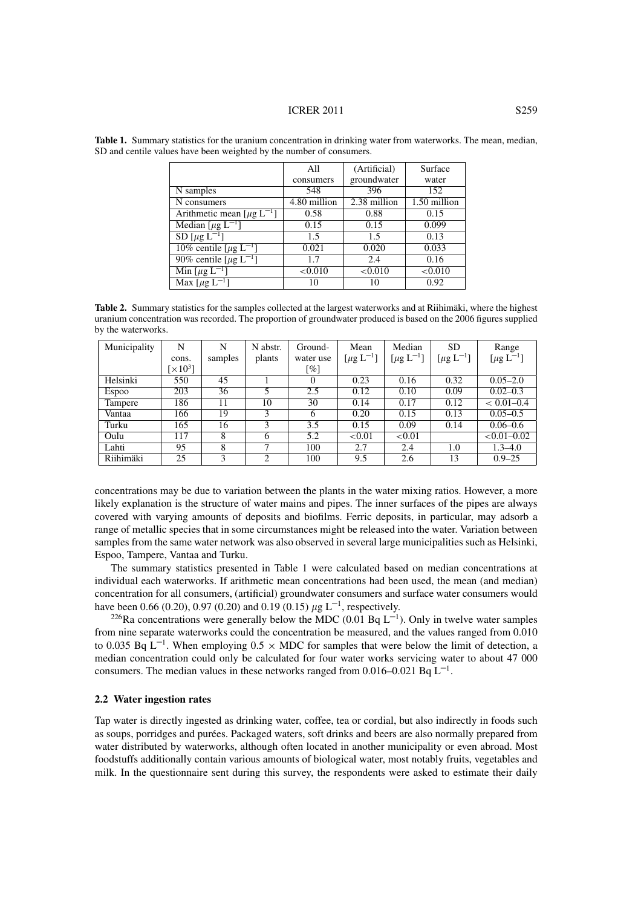|                                              | All          | (Artificial) | Surface      |
|----------------------------------------------|--------------|--------------|--------------|
|                                              | consumers    | groundwater  | water        |
| N samples                                    | 548          | 396          | 152          |
| N consumers                                  | 4.80 million | 2.38 million | 1.50 million |
| Arithmetic mean $\lceil \mu g L^{-1} \rceil$ | 0.58         | 0.88         | 0.15         |
| Median $[\mu g L^{-1}]$                      | 0.15         | 0.15         | 0.099        |
| $SD[\mu g L^{-1}]$                           | 1.5          | 1.5          | 0.13         |
| 10% centile [ $\mu$ g L <sup>-1</sup> ]      | 0.021        | 0.020        | 0.033        |
| 90% centile $[\mu g L^{-1}]$                 | 1.7          | 2.4          | 0.16         |
| Min [ $\mu$ g L <sup>-1</sup> ]              | < 0.010      | < 0.010      | < 0.010      |
| Max $\lceil \mu g L^{-1} \rceil$             | 10           | 10           | 0.92         |

**Table 1.** Summary statistics for the uranium concentration in drinking water from waterworks. The mean, median, SD and centile values have been weighted by the number of consumers.

**Table 2.** Summary statistics for the samples collected at the largest waterworks and at Riihimäki, where the highest uranium concentration was recorded. The proportion of groundwater produced is based on the 2006 figures supplied by the waterworks.

| Municipality | N                           | N       | N abstr. | Ground-            | Mean                        | Median                      | <b>SD</b>        | Range                       |
|--------------|-----------------------------|---------|----------|--------------------|-----------------------------|-----------------------------|------------------|-----------------------------|
|              | cons.                       | samples | plants   | water use          | [ $\mu$ g L <sup>-1</sup> ] | [ $\mu$ g L <sup>-1</sup> ] | $[\mu g L^{-1}]$ | [ $\mu$ g L <sup>-1</sup> ] |
|              | $\lceil \times 10^3 \rceil$ |         |          | $\lceil \% \rceil$ |                             |                             |                  |                             |
| Helsinki     | 550                         | 45      |          | $\theta$           | 0.23                        | 0.16                        | 0.32             | $0.05 - 2.0$                |
| <b>Espoo</b> | 203                         | 36      | 5        | 2.5                | 0.12                        | 0.10                        | 0.09             | $0.02 - 0.3$                |
| Tampere      | 186                         | 11      | 10       | 30                 | 0.14                        | 0.17                        | 0.12             | $< 0.01 - 0.4$              |
| Vantaa       | 166                         | 19      | 3        | 6                  | 0.20                        | 0.15                        | 0.13             | $0.05 - 0.5$                |
| Turku        | 165                         | 16      | 3        | 3.5                | 0.15                        | 0.09                        | 0.14             | $0.06 - 0.6$                |
| Oulu         | 117                         | 8       | 6        | 5.2                | ${<}0.01$                   | ${<}0.01$                   |                  | $<0.01-0.02$                |
| Lahti        | 95                          | 8       | ┑        | 100                | 2.7                         | 2.4                         | 1.0              | $1.3 - 4.0$                 |
| Riihimäki    | 25                          | 3       | 2        | 100                | 9.5                         | 2.6                         | 13               | $0.9 - 25$                  |

concentrations may be due to variation between the plants in the water mixing ratios. However, a more likely explanation is the structure of water mains and pipes. The inner surfaces of the pipes are always covered with varying amounts of deposits and biofilms. Ferric deposits, in particular, may adsorb a range of metallic species that in some circumstances might be released into the water. Variation between samples from the same water network was also observed in several large municipalities such as Helsinki, Espoo, Tampere, Vantaa and Turku.

The summary statistics presented in Table 1 were calculated based on median concentrations at individual each waterworks. If arithmetic mean concentrations had been used, the mean (and median) concentration for all consumers, (artificial) groundwater consumers and surface water consumers would have been 0.66 (0.20), 0.97 (0.20) and 0.19 (0.15)  $\mu$ g L<sup>-1</sup>, respectively.

<sup>226</sup>Ra concentrations were generally below the MDC (0.01 Bq  $L^{-1}$ ). Only in twelve water samples from nine separate waterworks could the concentration be measured, and the values ranged from 0.010 to 0.035 Bq  $L^{-1}$ . When employing  $0.5 \times \text{MDC}$  for samples that were below the limit of detection, a median concentration could only be calculated for four water works servicing water to about 47 000 consumers. The median values in these networks ranged from  $0.016-0.021$  Bq  $L^{-1}$ .

# **2.2 Water ingestion rates**

Tap water is directly ingested as drinking water, coffee, tea or cordial, but also indirectly in foods such as soups, porridges and purées. Packaged waters, soft drinks and beers are also normally prepared from water distributed by waterworks, although often located in another municipality or even abroad. Most foodstuffs additionally contain various amounts of biological water, most notably fruits, vegetables and milk. In the questionnaire sent during this survey, the respondents were asked to estimate their daily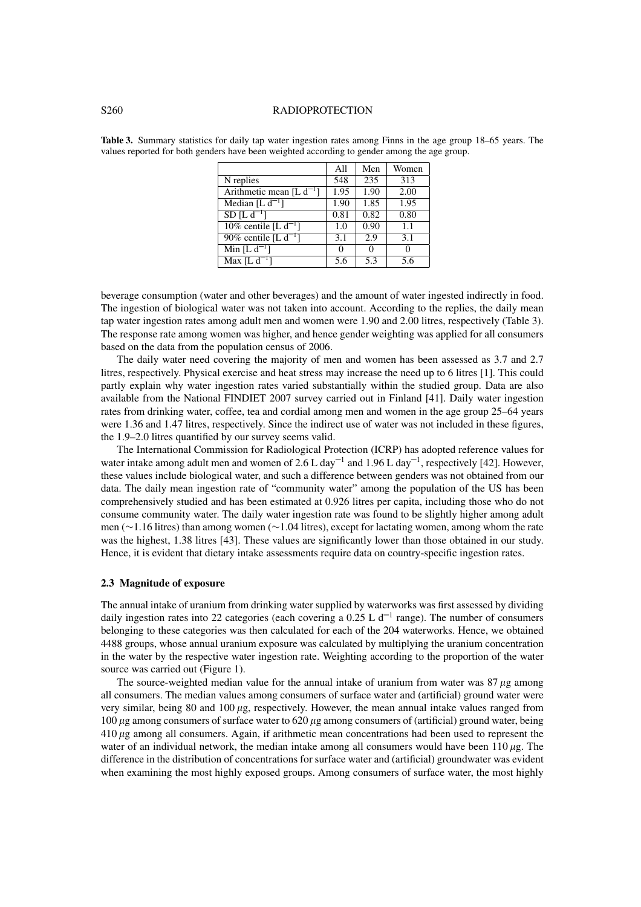### S260 RADIOPROTECTION

|                                    | All  | Men  | Women             |
|------------------------------------|------|------|-------------------|
| $\overline{N}$ replies             | 548  | 235  | 313               |
| Arithmetic mean [L $d^{-1}$ ]      | 1.95 | 1.90 | 2.00              |
| Median $[L d^{-1}]$                | 1.90 | 1.85 | $\overline{1.95}$ |
| $SD [L d^{-1}]$                    | 0.81 | 0.82 | 0.80              |
| 10% centile [L $d^{-1}$ ]          | 1.0  | 0.90 | 1.1               |
| 90% centile [L $d^{-1}$ ]          | 3.1  | 2.9  | 3.1               |
| Min $[L d^{-1}]$                   | 0    | 0    |                   |
| $\overline{\text{Max} [L d^{-1}]}$ | 5.6  | 5.3  | 5.6               |

**Table 3.** Summary statistics for daily tap water ingestion rates among Finns in the age group 18–65 years. The values reported for both genders have been weighted according to gender among the age group.

beverage consumption (water and other beverages) and the amount of water ingested indirectly in food. The ingestion of biological water was not taken into account. According to the replies, the daily mean tap water ingestion rates among adult men and women were 1.90 and 2.00 litres, respectively (Table 3). The response rate among women was higher, and hence gender weighting was applied for all consumers based on the data from the population census of 2006.

The daily water need covering the majority of men and women has been assessed as 3.7 and 2.7 litres, respectively. Physical exercise and heat stress may increase the need up to 6 litres [1]. This could partly explain why water ingestion rates varied substantially within the studied group. Data are also available from the National FINDIET 2007 survey carried out in Finland [41]. Daily water ingestion rates from drinking water, coffee, tea and cordial among men and women in the age group 25–64 years were 1.36 and 1.47 litres, respectively. Since the indirect use of water was not included in these figures, the 1.9–2.0 litres quantified by our survey seems valid.

The International Commission for Radiological Protection (ICRP) has adopted reference values for water intake among adult men and women of 2.6 L day<sup>-1</sup> and 1.96 L day<sup>-1</sup>, respectively [42]. However, these values include biological water, and such a difference between genders was not obtained from our data. The daily mean ingestion rate of "community water" among the population of the US has been comprehensively studied and has been estimated at 0.926 litres per capita, including those who do not consume community water. The daily water ingestion rate was found to be slightly higher among adult men (∼1.16 litres) than among women (∼1.04 litres), except for lactating women, among whom the rate was the highest, 1.38 litres [43]. These values are significantly lower than those obtained in our study. Hence, it is evident that dietary intake assessments require data on country-specific ingestion rates.

### **2.3 Magnitude of exposure**

The annual intake of uranium from drinking water supplied by waterworks was first assessed by dividing daily ingestion rates into 22 categories (each covering a 0.25 L  $d^{-1}$  range). The number of consumers belonging to these categories was then calculated for each of the 204 waterworks. Hence, we obtained 4488 groups, whose annual uranium exposure was calculated by multiplying the uranium concentration in the water by the respective water ingestion rate. Weighting according to the proportion of the water source was carried out (Figure 1).

The source-weighted median value for the annual intake of uranium from water was  $87 \mu g$  among all consumers. The median values among consumers of surface water and (artificial) ground water were very similar, being 80 and 100  $\mu$ g, respectively. However, the mean annual intake values ranged from 100  $\mu$ g among consumers of surface water to 620  $\mu$ g among consumers of (artificial) ground water, being 410 g among all consumers. Again, if arithmetic mean concentrations had been used to represent the water of an individual network, the median intake among all consumers would have been  $110 \mu g$ . The difference in the distribution of concentrations for surface water and (artificial) groundwater was evident when examining the most highly exposed groups. Among consumers of surface water, the most highly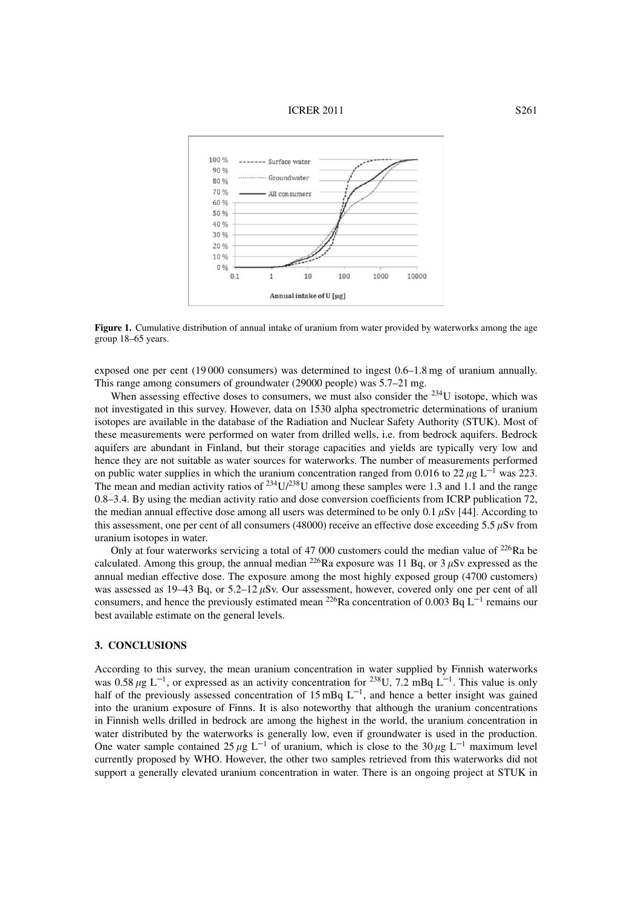



Figure 1. Cumulative distribution of annual intake of uranium from water provided by waterworks among the age group 18–65 years.

exposed one per cent (19 000 consumers) was determined to ingest 0.6–1.8 mg of uranium annually. This range among consumers of groundwater (29000 people) was 5.7–21 mg.

When assessing effective doses to consumers, we must also consider the <sup>234</sup>U isotope, which was not investigated in this survey. However, data on 1530 alpha spectrometric determinations of uranium isotopes are available in the database of the Radiation and Nuclear Safety Authority (STUK). Most of these measurements were performed on water from drilled wells, i.e. from bedrock aquifers. Bedrock aquifers are abundant in Finland, but their storage capacities and yields are typically very low and hence they are not suitable as water sources for waterworks. The number of measurements performed on public water supplies in which the uranium concentration ranged from 0.016 to 22  $\mu$ g L<sup>-1</sup> was 223. The mean and median activity ratios of  $^{234}U/^{238}U$  among these samples were 1.3 and 1.1 and the range 0.8–3.4. By using the median activity ratio and dose conversion coefficients from ICRP publication 72, the median annual effective dose among all users was determined to be only 0.1  $\mu$ Sv [44]. According to this assessment, one per cent of all consumers (48000) receive an effective dose exceeding 5.5  $\mu$ Sv from uranium isotopes in water.

Only at four waterworks servicing a total of 47 000 customers could the median value of  $^{226}$ Ra be calculated. Among this group, the annual median <sup>226</sup>Ra exposure was 11 Bq, or 3  $\mu$ Sv expressed as the annual median effective dose. The exposure among the most highly exposed group (4700 customers) was assessed as  $19-43$  Bq, or  $5.2-12 \mu Sv$ . Our assessment, however, covered only one per cent of all consumers, and hence the previously estimated mean <sup>226</sup>Ra concentration of 0.003 Bq  $L^{-1}$  remains our best available estimate on the general levels.

# **3. CONCLUSIONS**

According to this survey, the mean uranium concentration in water supplied by Finnish waterworks was  $0.58 \mu g$  L<sup>-1</sup>, or expressed as an activity concentration for <sup>238</sup>U, 7.2 mBq L<sup>-1</sup>. This value is only half of the previously assessed concentration of  $15 \text{ mBq } L^{-1}$ , and hence a better insight was gained into the uranium exposure of Finns. It is also noteworthy that although the uranium concentrations in Finnish wells drilled in bedrock are among the highest in the world, the uranium concentration in water distributed by the waterworks is generally low, even if groundwater is used in the production. One water sample contained 25  $\mu$ g L<sup>-1</sup> of uranium, which is close to the 30  $\mu$ g L<sup>-1</sup> maximum level currently proposed by WHO. However, the other two samples retrieved from this waterworks did not support a generally elevated uranium concentration in water. There is an ongoing project at STUK in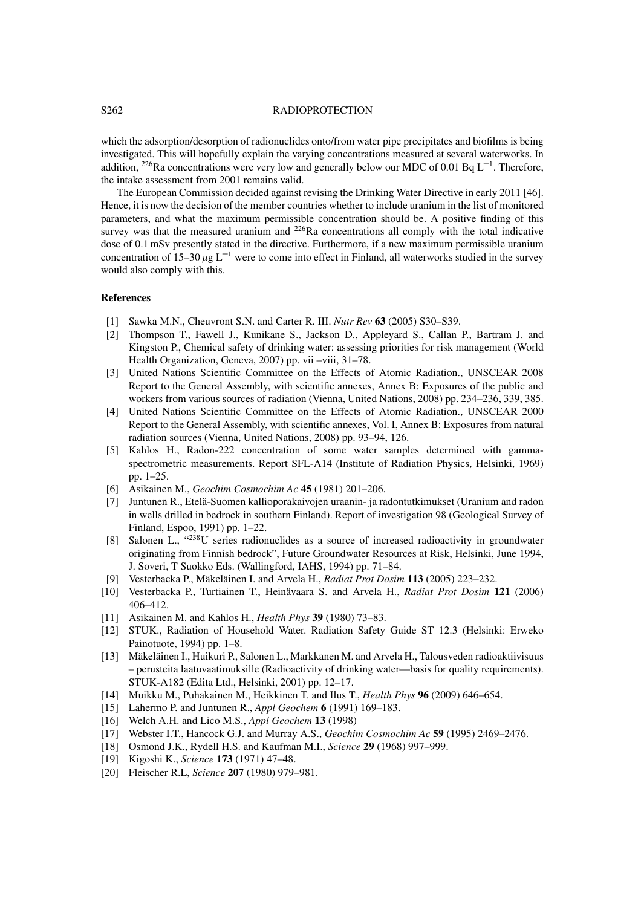### S262 RADIOPROTECTION

which the adsorption/desorption of radionuclides onto/from water pipe precipitates and biofilms is being investigated. This will hopefully explain the varying concentrations measured at several waterworks. In addition, <sup>226</sup>Ra concentrations were very low and generally below our MDC of 0.01 Bq  $L^{-1}$ . Therefore, the intake assessment from 2001 remains valid.

The European Commission decided against revising the Drinking Water Directive in early 2011 [46]. Hence, it is now the decision of the member countries whether to include uranium in the list of monitored parameters, and what the maximum permissible concentration should be. A positive finding of this survey was that the measured uranium and  $^{226}$ Ra concentrations all comply with the total indicative dose of 0.1 mSv presently stated in the directive. Furthermore, if a new maximum permissible uranium concentration of 15–30  $\mu$ g L<sup>-1</sup> were to come into effect in Finland, all waterworks studied in the survey would also comply with this.

### **References**

- [1] Sawka M.N., Cheuvront S.N. and Carter R. III. *Nutr Rev* **63** (2005) S30–S39.
- [2] Thompson T., Fawell J., Kunikane S., Jackson D., Appleyard S., Callan P., Bartram J. and Kingston P., Chemical safety of drinking water: assessing priorities for risk management (World Health Organization, Geneva, 2007) pp. vii –viii, 31–78.
- [3] United Nations Scientific Committee on the Effects of Atomic Radiation., UNSCEAR 2008 Report to the General Assembly, with scientific annexes, Annex B: Exposures of the public and workers from various sources of radiation (Vienna, United Nations, 2008) pp. 234–236, 339, 385.
- [4] United Nations Scientific Committee on the Effects of Atomic Radiation., UNSCEAR 2000 Report to the General Assembly, with scientific annexes, Vol. I, Annex B: Exposures from natural radiation sources (Vienna, United Nations, 2008) pp. 93–94, 126.
- [5] Kahlos H., Radon-222 concentration of some water samples determined with gammaspectrometric measurements. Report SFL-A14 (Institute of Radiation Physics, Helsinki, 1969) pp. 1–25.
- [6] Asikainen M., *Geochim Cosmochim Ac* **45** (1981) 201–206.
- [7] Juntunen R., Etelä-Suomen kallioporakaivojen uraanin- ja radontutkimukset (Uranium and radon in wells drilled in bedrock in southern Finland). Report of investigation 98 (Geological Survey of Finland, Espoo, 1991) pp. 1–22.
- [8] Salonen L., "238U series radionuclides as a source of increased radioactivity in groundwater originating from Finnish bedrock", Future Groundwater Resources at Risk, Helsinki, June 1994, J. Soveri, T Suokko Eds. (Wallingford, IAHS, 1994) pp. 71–84.
- [9] Vesterbacka P., Mäkeläinen I. and Arvela H., *Radiat Prot Dosim* **113** (2005) 223–232.
- [10] Vesterbacka P., Turtiainen T., Heinävaara S. and Arvela H., *Radiat Prot Dosim* **121** (2006) 406–412.
- [11] Asikainen M. and Kahlos H., *Health Phys* **39** (1980) 73–83.
- [12] STUK., Radiation of Household Water. Radiation Safety Guide ST 12.3 (Helsinki: Erweko Painotuote, 1994) pp. 1–8.
- [13] Mäkeläinen I., Huikuri P., Salonen L., Markkanen M. and Arvela H., Talousveden radioaktiivisuus – perusteita laatuvaatimuksille (Radioactivity of drinking water—basis for quality requirements). STUK-A182 (Edita Ltd., Helsinki, 2001) pp. 12–17.
- [14] Muikku M., Puhakainen M., Heikkinen T. and Ilus T., *Health Phys* **96** (2009) 646–654.
- [15] Lahermo P. and Juntunen R., *Appl Geochem* **6** (1991) 169–183.
- [16] Welch A.H. and Lico M.S., *Appl Geochem* **13** (1998)
- [17] Webster I.T., Hancock G.J. and Murray A.S., *Geochim Cosmochim Ac* **59** (1995) 2469–2476.
- [18] Osmond J.K., Rydell H.S. and Kaufman M.I., *Science* **29** (1968) 997–999.
- [19] Kigoshi K., *Science* **173** (1971) 47–48.
- [20] Fleischer R.L, *Science* **207** (1980) 979–981.